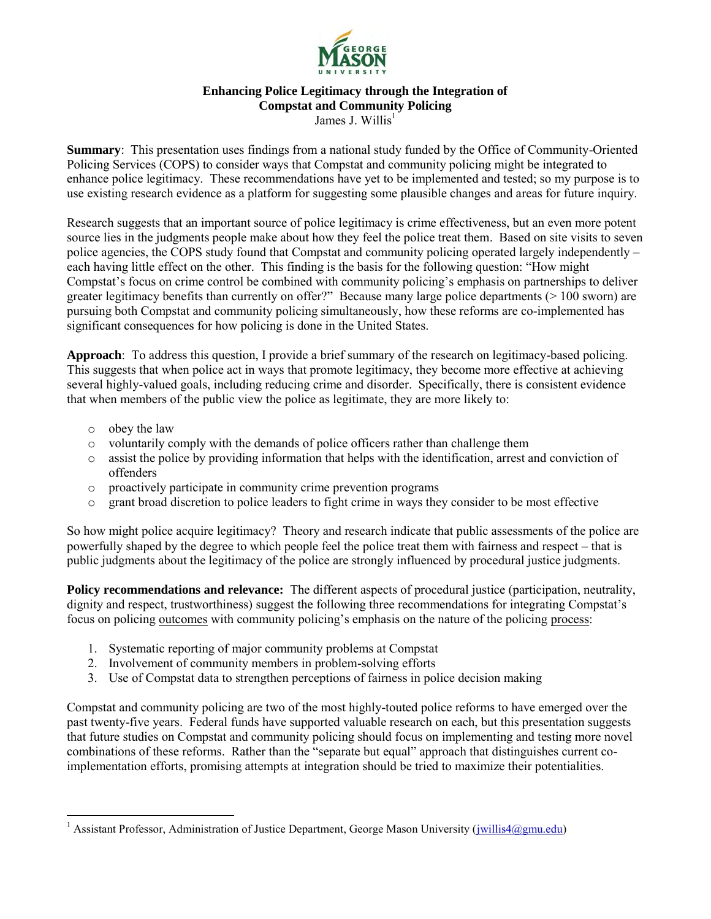

#### **Enhancing Police Legitimacy through the Integration of Compstat and Community Policing**  James J. Willis<sup>1</sup>

**Summary**: This presentation uses findings from a national study funded by the Office of Community-Oriented Policing Services (COPS) to consider ways that Compstat and community policing might be integrated to enhance police legitimacy. These recommendations have yet to be implemented and tested; so my purpose is to use existing research evidence as a platform for suggesting some plausible changes and areas for future inquiry.

Research suggests that an important source of police legitimacy is crime effectiveness, but an even more potent source lies in the judgments people make about how they feel the police treat them. Based on site visits to seven police agencies, the COPS study found that Compstat and community policing operated largely independently – each having little effect on the other. This finding is the basis for the following question: "How might Compstat's focus on crime control be combined with community policing's emphasis on partnerships to deliver greater legitimacy benefits than currently on offer?" Because many large police departments (> 100 sworn) are pursuing both Compstat and community policing simultaneously, how these reforms are co-implemented has significant consequences for how policing is done in the United States.

**Approach**: To address this question, I provide a brief summary of the research on legitimacy-based policing. This suggests that when police act in ways that promote legitimacy, they become more effective at achieving several highly-valued goals, including reducing crime and disorder. Specifically, there is consistent evidence that when members of the public view the police as legitimate, they are more likely to:

o obey the law

 $\overline{a}$ 

- o voluntarily comply with the demands of police officers rather than challenge them
- $\circ$  assist the police by providing information that helps with the identification, arrest and conviction of offenders
- o proactively participate in community crime prevention programs
- o grant broad discretion to police leaders to fight crime in ways they consider to be most effective

So how might police acquire legitimacy? Theory and research indicate that public assessments of the police are powerfully shaped by the degree to which people feel the police treat them with fairness and respect – that is public judgments about the legitimacy of the police are strongly influenced by procedural justice judgments.

**Policy recommendations and relevance:** The different aspects of procedural justice (participation, neutrality, dignity and respect, trustworthiness) suggest the following three recommendations for integrating Compstat's focus on policing outcomes with community policing's emphasis on the nature of the policing process:

- 1. Systematic reporting of major community problems at Compstat
- 2. Involvement of community members in problem-solving efforts
- 3. Use of Compstat data to strengthen perceptions of fairness in police decision making

Compstat and community policing are two of the most highly-touted police reforms to have emerged over the past twenty-five years. Federal funds have supported valuable research on each, but this presentation suggests that future studies on Compstat and community policing should focus on implementing and testing more novel combinations of these reforms. Rather than the "separate but equal" approach that distinguishes current coimplementation efforts, promising attempts at integration should be tried to maximize their potentialities.

<sup>&</sup>lt;sup>1</sup> Assistant Professor, Administration of Justice Department, George Mason University (*jwillis4@gmu.edu*)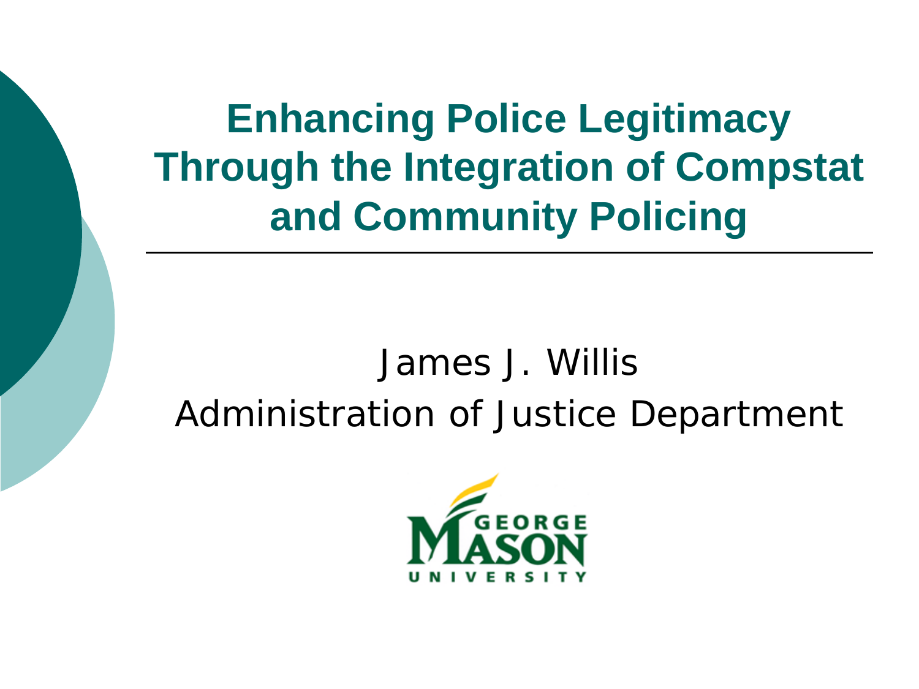**Enhancing Police Legitimacy Through the Integration of Compstat and Community Policing**

#### James J. Willis Administration of Justice Department

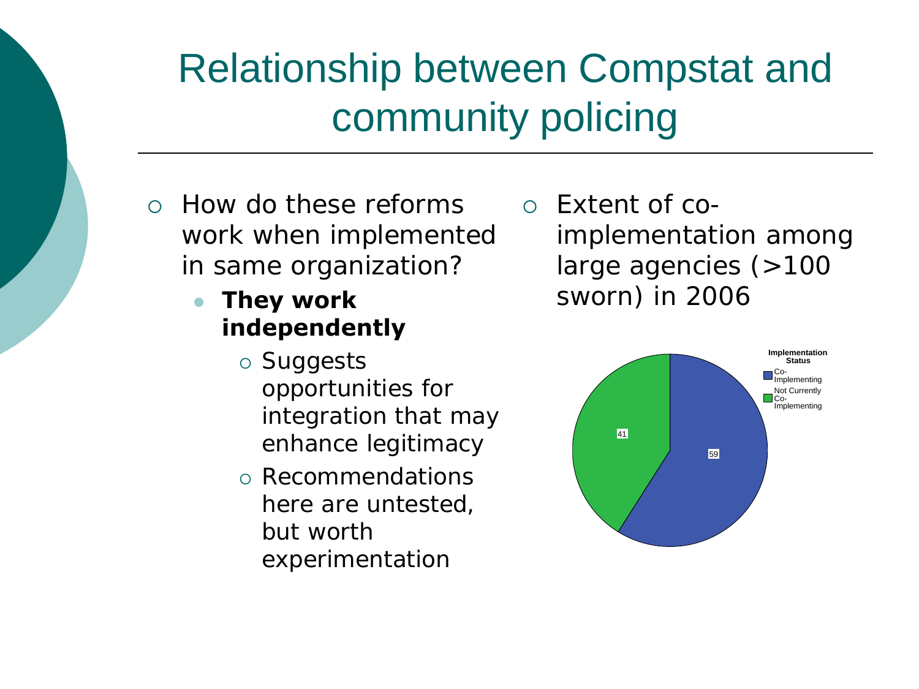# Relationship between Compstat and community policing

- How do these reforms work when implemented in same organization?
	- **They work independently**
- large agencies (>100 sworn) in 2006

Extent of co-

- Suggests opportunities for integration that may enhance legitimacy
- Recommendations here are untested, but worth experimentation



implementation among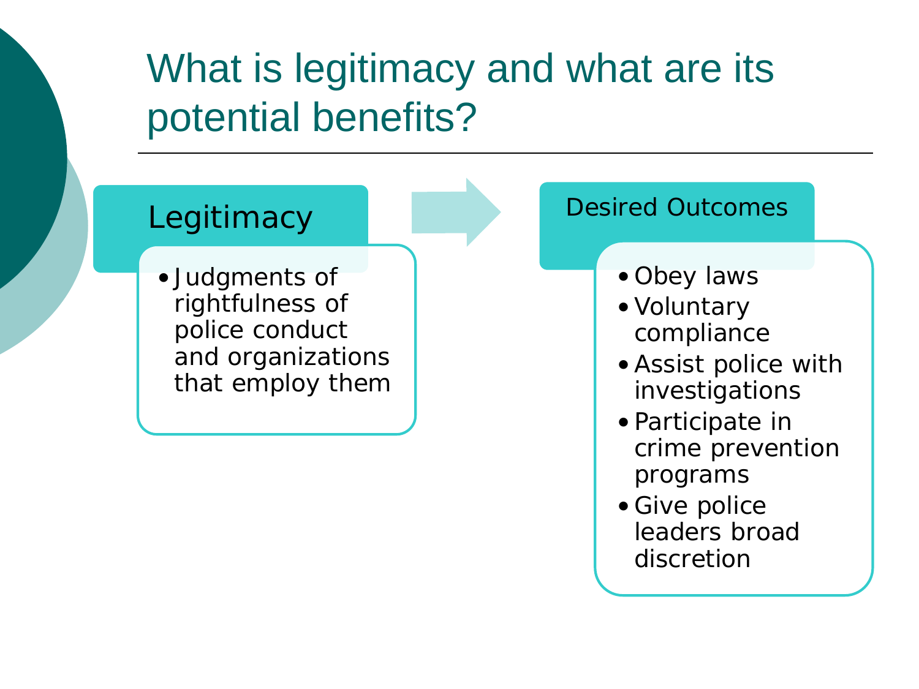### What is legitimacy and what are its potential benefits?

#### **Legitimacy**

• Judgments of rightfulness of police conduct and organizations that employ them

#### Desired Outcomes

- Obey laws
- •Voluntary compliance
- •Assist police with investigations
- Participate in crime prevention programs
- Give police leaders broad discretion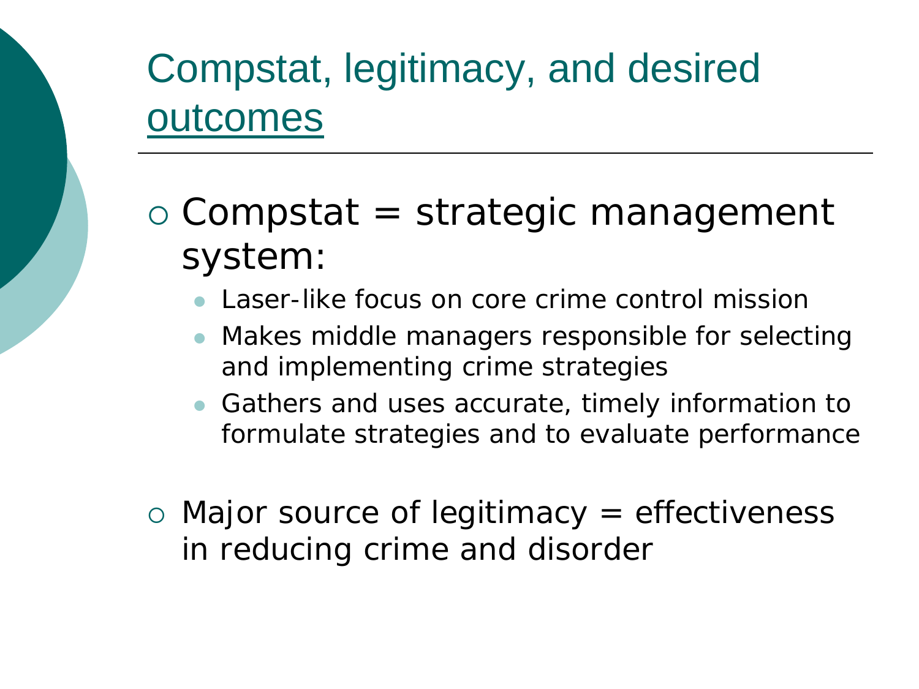# Compstat, legitimacy, and desired outcomes

- Compstat = strategic management system:
	- Laser-like focus on core crime control mission
	- Makes middle managers responsible for selecting and implementing crime strategies
	- Gathers and uses accurate, timely information to formulate strategies and to evaluate performance
- Major source of legitimacy = effectiveness in reducing crime and disorder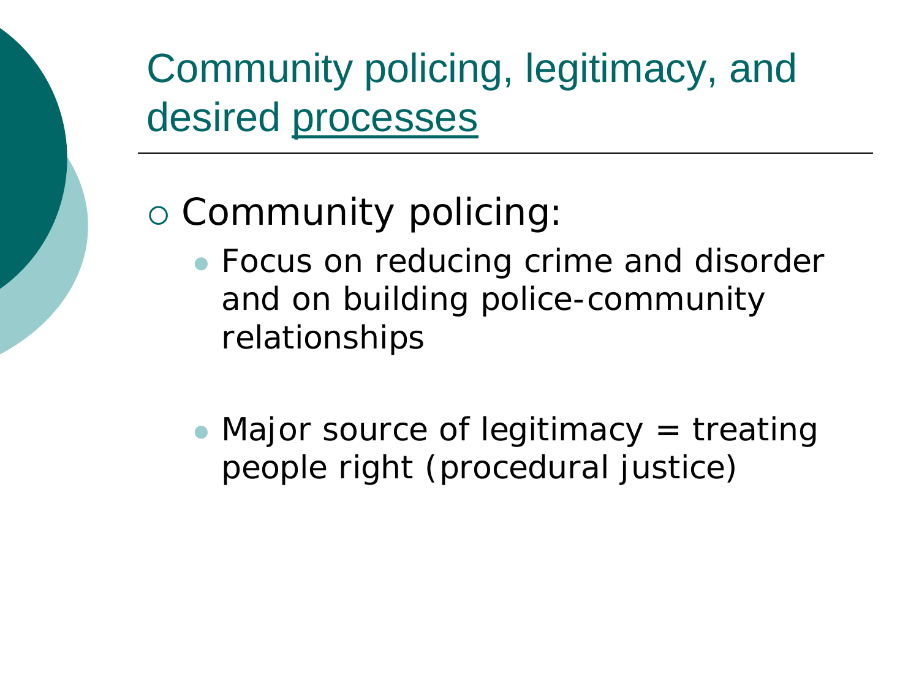# Community policing, legitimacy, and desired processes

#### Community policing:

- Focus on reducing crime and disorder and on building police-community relationships
- Major source of legitimacy  $=$  treating people right (procedural justice)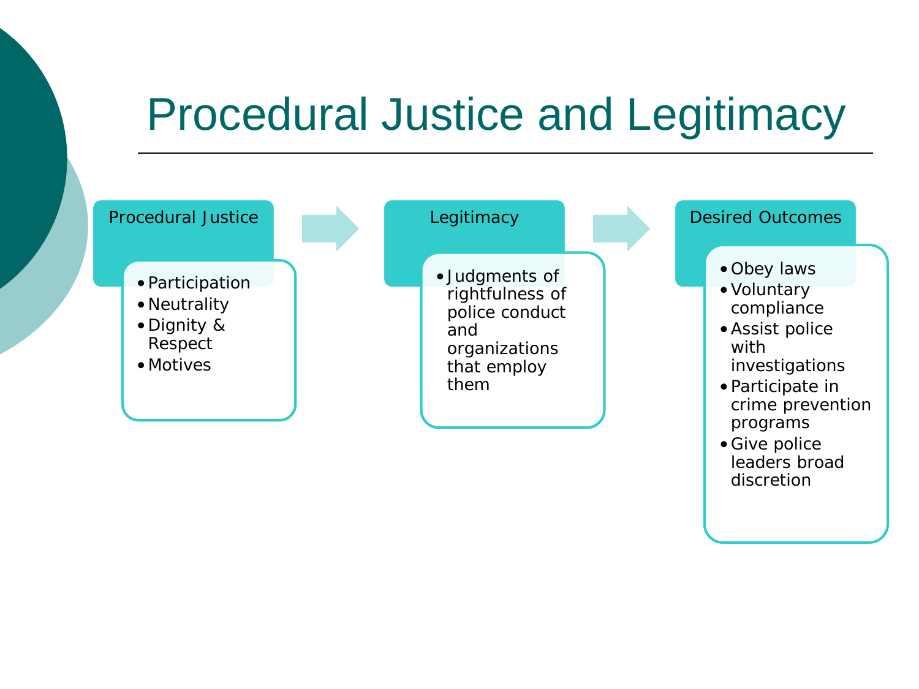# Procedural Justice and Legitimacy



leaders broad discretion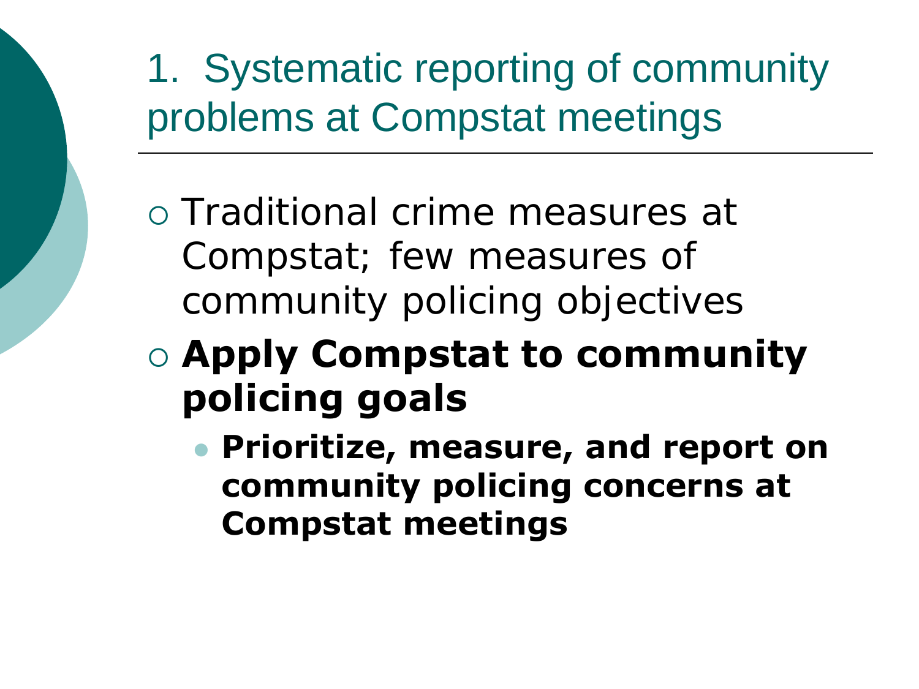1. Systematic reporting of community problems at Compstat meetings

- Traditional crime measures at Compstat; few measures of community policing objectives
- **Apply Compstat to community policing goals**
	- **Prioritize, measure, and report on community policing concerns at Compstat meetings**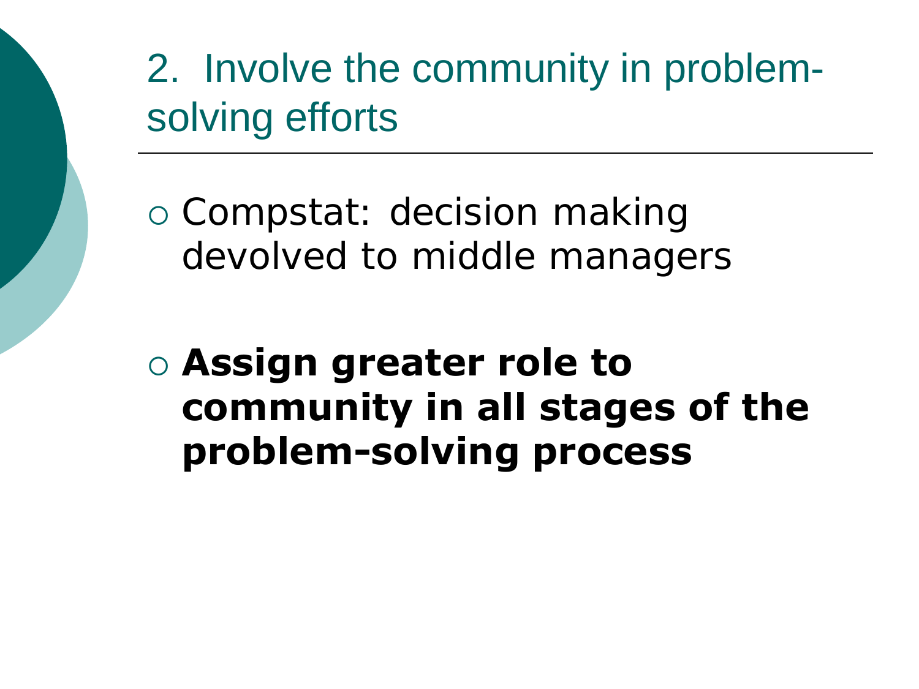2. Involve the community in problemsolving efforts

 Compstat: decision making devolved to middle managers

#### **Assign greater role to community in all stages of the problem-solving process**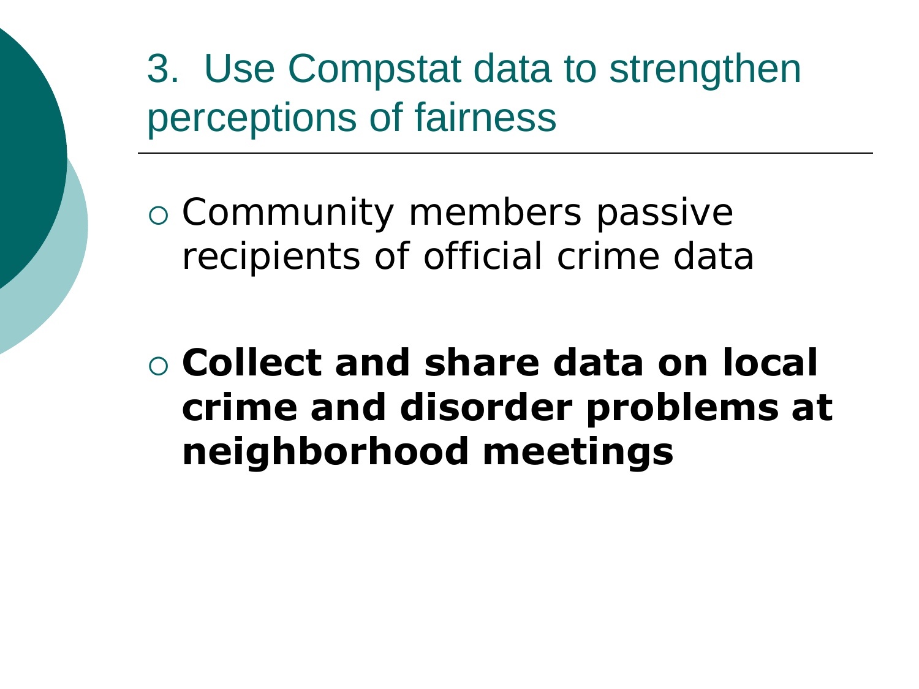3. Use Compstat data to strengthen perceptions of fairness

 Community members passive recipients of official crime data

 **Collect and share data on local crime and disorder problems at neighborhood meetings**